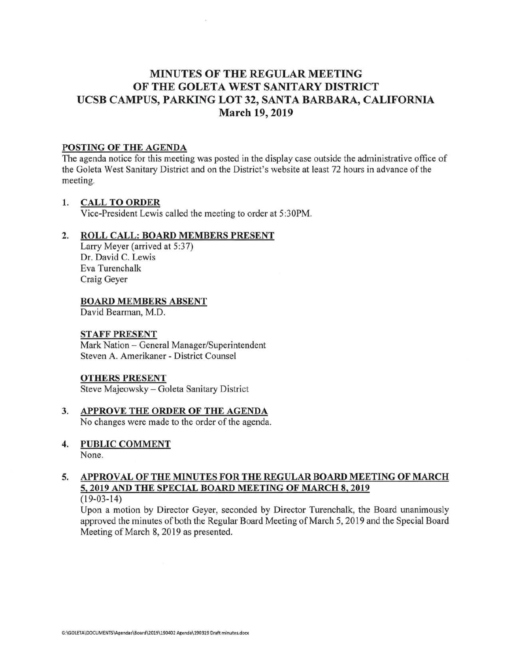# **MINUTES OF THE REGULAR MEETING OF THE GOLETA WEST SANITARY DISTRICT UCSB CAMPUS, PARKING LOT 32, SANTA BARBARA, CALIFORNIA March 19, 2019**

# **POSTING OF THE AGENDA**

The agenda notice for this meeting was posted in the display case outside the administrative office of the Goleta West Sanitary District and on the District's website at least 72 hours in advance of the meeting.

## **1. CALL TO ORDER**

Vice-President Lewis called the meeting to order at 5:30PM.

# **2. ROLL CALL: BOARD MEMBERS PRESENT**

Larry Meyer (arrived at 5:37) Dr. David C. Lewis Eva Turenchalk Craig Geyer

## **BOARD MEMBERS ABSENT**

David Bearman, M.D.

## **STAFF PRESENT**

Mark Nation - General Manager/Superintendent Steven A. Amerikaner - District Counsel

## **OTHERS PRESENT**

Steve Majeowsky - Goleta Sanitary District

- **3. APPROVE THE ORDER OF THE AGENDA**  No changes were made to the order of the agenda.
- **4. PUBLIC COMMENT**  None.

## **5. APPROVAL OF THE MINUTES FOR THE REGULAR BOARD MEETING OF MARCH 5, 2019 AND THE SPECIAL BOARD MEETING OF MARCH 8, 2019**  (19-03-14)

Upon a motion by Director Geyer, seconded by Director Turenchalk, the Board unanimously approved the minutes of both the Regular Board Meeting of March 5, 2019 and the Special Board Meeting of March 8, 2019 as presented.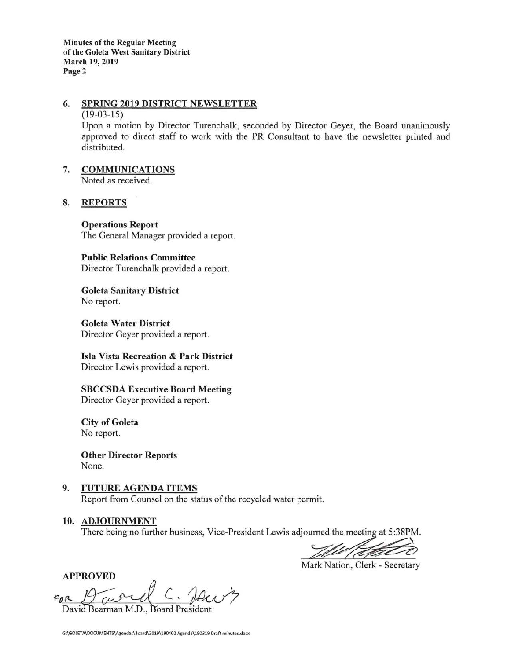**Minutes of the Regular Meeting of the Goleta West Sanitary District March 19, 2019 Page 2** 

# **6. SPRING 2019 DISTRICT NEWSLETTER**

#### $(19-03-15)$

Upon a motion by Director Turenchalk, seconded by Director Geyer, the Board unanimously approved to direct staff to work with the PR Consultant to have the newsletter printed and distributed.

# 7. **COMMUNICATIONS**

Noted as received.

# **8. REPORTS**

**Operations Report**  The General Manager provided a report.

**Public Relations Committee**  Director Turenchalk provided a report.

**Goleta Sanitary District**  No report.

**Goleta Water District**  Director Geyer provided a report.

**Isla Vista Recreation** & **Park District**  Director Lewis provided a report.

**SBCCSDA Executive Board Meeting**  Director Geyer provided a report.

**City of Goleta**  No report.

**Other Director Reports**  None.

- 9. **FUTURE AGENDA ITEMS**  Report from Counsel on the status of the recycled water permit.
- 10. ADJOURNMENT

There being no further business, Vice-President Lewis adjourned the meeting at 5:38PM.

Mark Nation, Clerk - Secretary

APPROVED

FOR  $19 cm<sup>9</sup>$ David Bearman M.D., Board President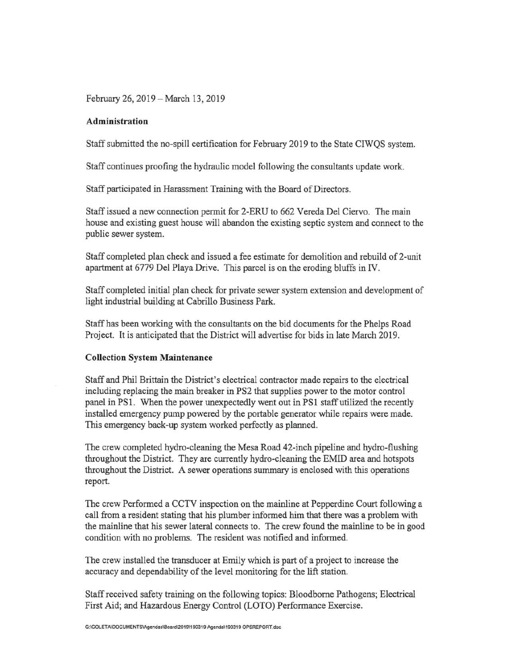February 26, 2019-March 13, 2019

## **Administration**

Staff submitted the no-spill certification for February 2019 to the State CIWQS system.

Staff continues proofing the hydraulic model following the consultants update work.

Staff participated in Harassment Training with the Board of Directors.

Staff issued a new connection permit for 2-ERU to 662 Vereda Del Ciervo. The main house and existing guest house will abandon the existing septic system and connect to the public sewer system.

Staff completed plan check and issued a fee estimate for demolition and rebuild of 2-unit apartment at 6779 Del Playa Drive. This parcel is on the eroding bluffs in IV.

Staff completed initial plan check for private sewer system extension and development of light industrial building at Cabrillo Business Park.

Staff has been working with the consultants on the bid documents for the Phelps Road Project. It is anticipated that the District will advertise for bids in late March 2019.

## **Collection System Maintenance**

Staff and Phil Brittain the District's electrical contractor made repairs to the electrical including replacing the main breaker in PS2 that supplies power to the motor control panel in PS1. When the power unexpectedly went out in PS1 staff utilized the recently installed emergency pump powered by the portable generator while repairs were made. This emergency back-up system worked perfectly as planned.

The crew completed hydro-cleaning the Mesa Road 42-inch pipeline and hydro-flushing throughout the District. They are currently hydro-cleaning the EMID area and hotspots throughout the District. A sewer operations summary is enclosed with this operations report.

The crew Performed a CCTV inspection on the mainline at Pepperdine Court following a call from a resident stating that his plumber informed him that there was a problem with the mainline that his sewer lateral connects to. The crew found the mainline to be in good condition with no problems. The resident was notified and informed.

The crew installed the transducer at Emily which is part of a project to increase the accuracy and dependability of the level monitoring for the lift station.

Staff received safety training on the following topics: Bloodbome Pathogens; Electrical First Aid; and Hazardous Energy Control (LOTO) Performance Exercise.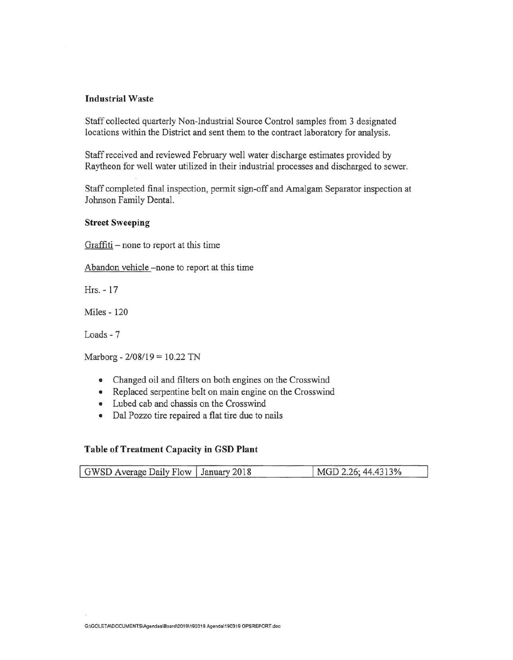## **Industrial Waste**

Staff collected quarterly Non-Industrial Source Control samples from 3 designated locations within the District and sent them to the contract laboratory for analysis.

Staff received and reviewed February well water discharge estimates provided by Raytheon for well water utilized in their industrial processes and discharged to sewer.

Staff completed final inspection, permit sign-off and Amalgam Separator inspection at Johnson Family Dental.

### **Street Sweeping**

Graffiti – none to report at this time

Abandon vehicle -none to report at this time

Hrs. - 17

Miles - 120

Loads - 7

Marborg - 2/08/19 = 10.22 TN

- Changed oil and filters on both engines on the Crosswind
- Replaced serpentine belt on main engine on the Crosswind
- Lubed cab and chassis on the Crosswind
- Dal Pozzo tire repaired a flat tire due to nails

#### **Table of Treatment Capacity in GSD Plant**

| GWSD Average Daily Flow   January 2018 | MGD 2.26; 44.4313% |
|----------------------------------------|--------------------|
|                                        |                    |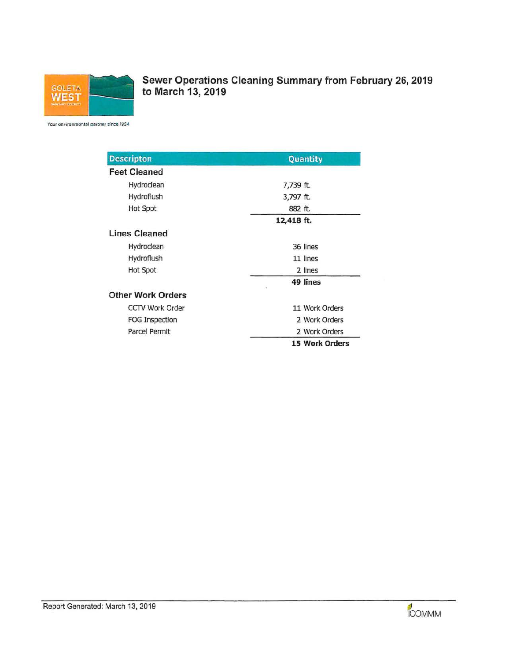

Sewer Operations Cleaning Summary from February 26, 2019 to March 13, 2019

Your environmental partner since 1954

| <b>Descripton</b>        | Quantity              |  |  |
|--------------------------|-----------------------|--|--|
| <b>Feet Cleaned</b>      |                       |  |  |
| Hydroclean               | 7,739 ft.             |  |  |
| Hydroflush               | 3,797 ft.             |  |  |
| Hot Spot                 | 882 ft.               |  |  |
|                          | 12,418 ft.            |  |  |
| <b>Lines Cleaned</b>     |                       |  |  |
| Hydroclean               | 36 lines              |  |  |
| Hydroflush               | 11 lines              |  |  |
| Hot Spot                 | 2 lines               |  |  |
|                          | 49 lines<br>œ         |  |  |
| <b>Other Work Orders</b> |                       |  |  |
| <b>CCTV Work Order</b>   | 11 Work Orders        |  |  |
| FOG Inspection           | 2 Work Orders         |  |  |
| Parcel Permit            | 2 Work Orders         |  |  |
|                          | <b>15 Work Orders</b> |  |  |